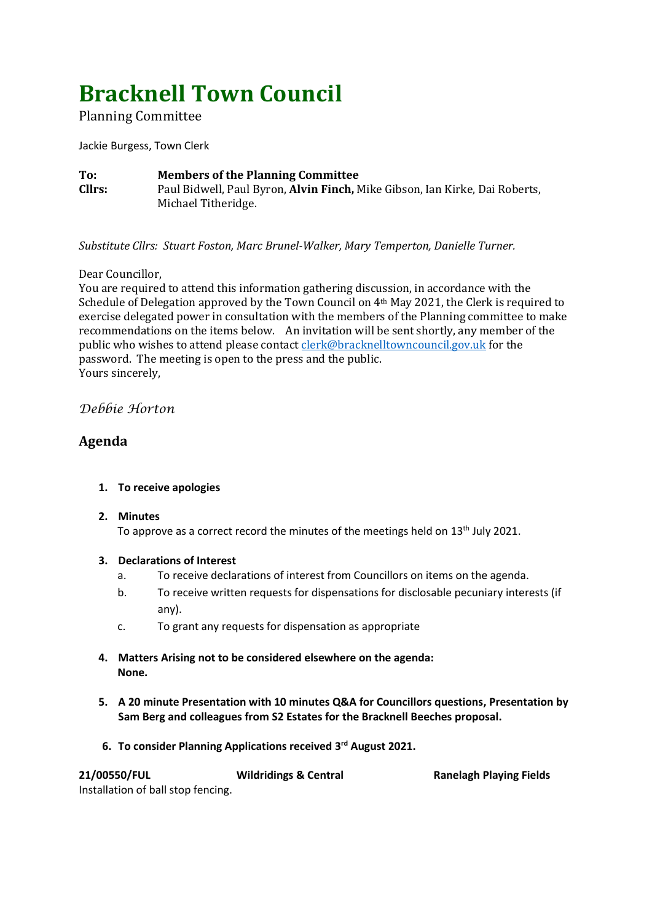# **Bracknell Town Council**

Planning Committee

Jackie Burgess, Town Clerk

**To: Members of the Planning Committee Cllrs:** Paul Bidwell, Paul Byron, **Alvin Finch,** Mike Gibson, Ian Kirke, Dai Roberts, Michael Titheridge.

*Substitute Cllrs: Stuart Foston, Marc Brunel-Walker, Mary Temperton, Danielle Turner.*

# Dear Councillor,

You are required to attend this information gathering discussion, in accordance with the Schedule of Delegation approved by the Town Council on 4th May 2021, the Clerk is required to exercise delegated power in consultation with the members of the Planning committee to make recommendations on the items below. An invitation will be sent shortly, any member of the public who wishes to attend please contac[t clerk@bracknelltowncouncil.gov.uk](mailto:clerk@bracknelltowncouncil.gov.uk) for the password. The meeting is open to the press and the public. Yours sincerely,

# *Debbie Horton*

# **Agenda**

# **1. To receive apologies**

# **2. Minutes**

To approve as a correct record the minutes of the meetings held on 13<sup>th</sup> July 2021.

# **3. Declarations of Interest**

- a. To receive declarations of interest from Councillors on items on the agenda.
- b. To receive written requests for dispensations for disclosable pecuniary interests (if any).
- c. To grant any requests for dispensation as appropriate
- **4. Matters Arising not to be considered elsewhere on the agenda: None.**
- **5. A 20 minute Presentation with 10 minutes Q&A for Councillors questions, Presentation by Sam Berg and colleagues from S2 Estates for the Bracknell Beeches proposal.**
- **6. To consider Planning Applications received 3 rd August 2021.**

| 21/00550/FUL                       | <b>Wildridings &amp; Central</b> | <b>Ranelagh Playing Fields</b> |
|------------------------------------|----------------------------------|--------------------------------|
| Installation of ball stop fencing. |                                  |                                |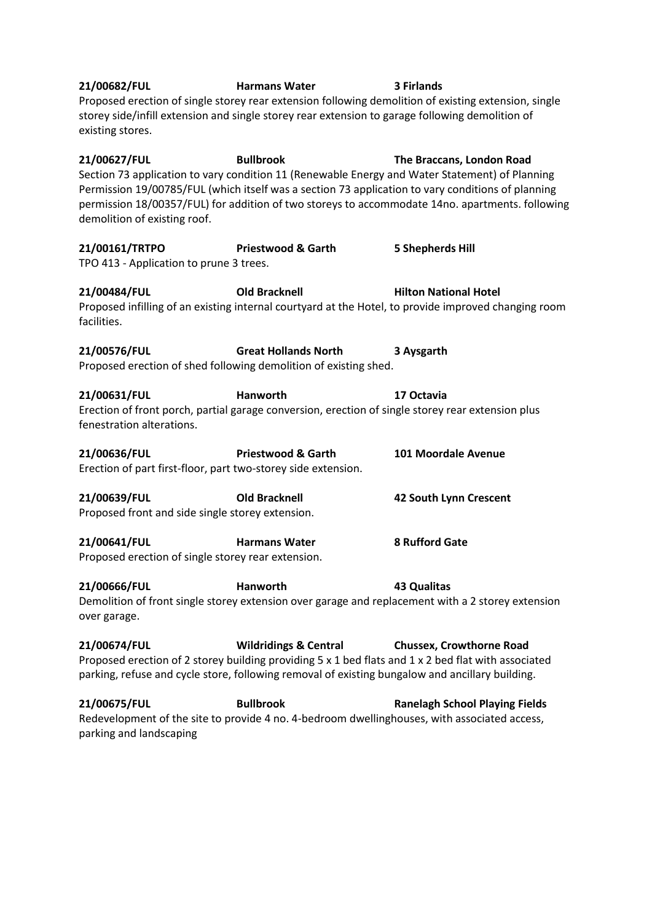**21/00682/FUL Harmans Water 3 Firlands** Proposed erection of single storey rear extension following demolition of existing extension, single storey side/infill extension and single storey rear extension to garage following demolition of existing stores. **21/00627/FUL Bullbrook The Braccans, London Road** Section 73 application to vary condition 11 (Renewable Energy and Water Statement) of Planning Permission 19/00785/FUL (which itself was a section 73 application to vary conditions of planning permission 18/00357/FUL) for addition of two storeys to accommodate 14no. apartments. following demolition of existing roof. **21/00161/TRTPO Priestwood & Garth 5 Shepherds Hill** TPO 413 - Application to prune 3 trees. **21/00484/FUL Old Bracknell Hilton National Hotel** Proposed infilling of an existing internal courtyard at the Hotel, to provide improved changing room facilities. **21/00576/FUL Great Hollands North 3 Aysgarth** Proposed erection of shed following demolition of existing shed. **21/00631/FUL Hanworth 17 Octavia** Erection of front porch, partial garage conversion, erection of single storey rear extension plus fenestration alterations. **21/00636/FUL Priestwood & Garth 101 Moordale Avenue** Erection of part first-floor, part two-storey side extension. **21/00639/FUL Old Bracknell 42 South Lynn Crescent** Proposed front and side single storey extension. **21/00641/FUL Harmans Water 8 Rufford Gate** Proposed erection of single storey rear extension. **21/00666/FUL Hanworth 43 Qualitas** Demolition of front single storey extension over garage and replacement with a 2 storey extension over garage. **21/00674/FUL Wildridings & Central Chussex, Crowthorne Road** Proposed erection of 2 storey building providing 5 x 1 bed flats and 1 x 2 bed flat with associated parking, refuse and cycle store, following removal of existing bungalow and ancillary building. **21/00675/FUL Bullbrook Ranelagh School Playing Fields** Redevelopment of the site to provide 4 no. 4-bedroom dwellinghouses, with associated access, parking and landscaping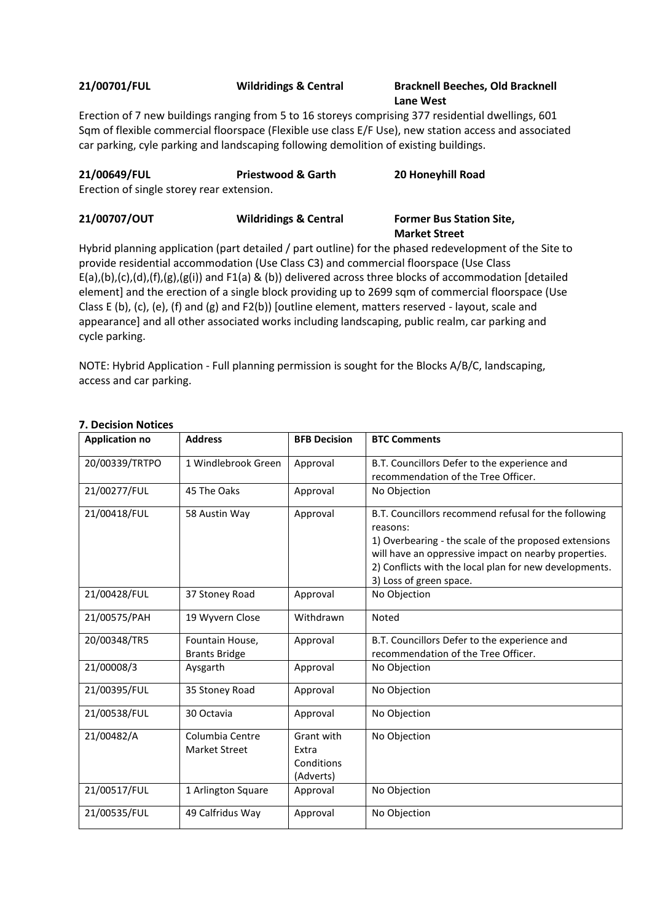#### **21/00701/FUL Wildridings & Central Bracknell Beeches, Old Bracknell Lane West**

Erection of 7 new buildings ranging from 5 to 16 storeys comprising 377 residential dwellings, 601 Sqm of flexible commercial floorspace (Flexible use class E/F Use), new station access and associated car parking, cyle parking and landscaping following demolition of existing buildings.

| 21/00649/FUL<br>Erection of single storey rear extension. | <b>Priestwood &amp; Garth</b>    | 20 Honeyhill Road                                       |
|-----------------------------------------------------------|----------------------------------|---------------------------------------------------------|
| 21/00707/OUT                                              | <b>Wildridings &amp; Central</b> | <b>Former Bus Station Site,</b><br><b>Market Street</b> |

Hybrid planning application (part detailed / part outline) for the phased redevelopment of the Site to provide residential accommodation (Use Class C3) and commercial floorspace (Use Class E(a),(b),(c),(d),(f),(g),(g(i)) and F1(a) & (b)) delivered across three blocks of accommodation [detailed element] and the erection of a single block providing up to 2699 sqm of commercial floorspace (Use Class E (b), (c), (e), (f) and (g) and F2(b)) [outline element, matters reserved - layout, scale and appearance] and all other associated works including landscaping, public realm, car parking and cycle parking.

NOTE: Hybrid Application - Full planning permission is sought for the Blocks A/B/C, landscaping, access and car parking.

| <b>Application no</b> | <b>Address</b>                   | <b>BFB Decision</b>                            | <b>BTC Comments</b>                                                                                                                                                                                                                                                    |
|-----------------------|----------------------------------|------------------------------------------------|------------------------------------------------------------------------------------------------------------------------------------------------------------------------------------------------------------------------------------------------------------------------|
| 20/00339/TRTPO        | 1 Windlebrook Green              | Approval                                       | B.T. Councillors Defer to the experience and                                                                                                                                                                                                                           |
|                       |                                  |                                                | recommendation of the Tree Officer.                                                                                                                                                                                                                                    |
| 21/00277/FUL          | 45 The Oaks                      | Approval                                       | No Objection                                                                                                                                                                                                                                                           |
| 21/00418/FUL          | 58 Austin Way                    | Approval                                       | B.T. Councillors recommend refusal for the following<br>reasons:<br>1) Overbearing - the scale of the proposed extensions<br>will have an oppressive impact on nearby properties.<br>2) Conflicts with the local plan for new developments.<br>3) Loss of green space. |
| 21/00428/FUL          | 37 Stoney Road                   | Approval                                       | No Objection                                                                                                                                                                                                                                                           |
| 21/00575/PAH          | 19 Wyvern Close                  | Withdrawn                                      | Noted                                                                                                                                                                                                                                                                  |
| 20/00348/TR5          | Fountain House,                  | Approval                                       | B.T. Councillors Defer to the experience and                                                                                                                                                                                                                           |
|                       | <b>Brants Bridge</b>             |                                                | recommendation of the Tree Officer.                                                                                                                                                                                                                                    |
| 21/00008/3            | Aysgarth                         | Approval                                       | No Objection                                                                                                                                                                                                                                                           |
| 21/00395/FUL          | 35 Stoney Road                   | Approval                                       | No Objection                                                                                                                                                                                                                                                           |
| 21/00538/FUL          | 30 Octavia                       | Approval                                       | No Objection                                                                                                                                                                                                                                                           |
| 21/00482/A            | Columbia Centre<br>Market Street | Grant with<br>Extra<br>Conditions<br>(Adverts) | No Objection                                                                                                                                                                                                                                                           |
| 21/00517/FUL          | 1 Arlington Square               | Approval                                       | No Objection                                                                                                                                                                                                                                                           |
| 21/00535/FUL          | 49 Calfridus Way                 | Approval                                       | No Objection                                                                                                                                                                                                                                                           |

#### **7. Decision Notices**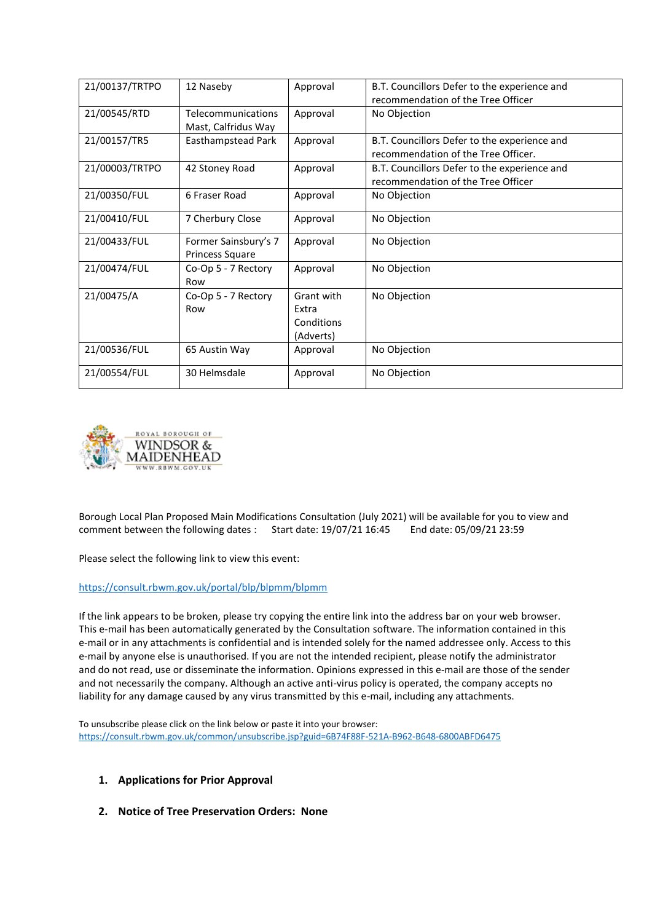| 21/00137/TRTPO | 12 Naseby            | Approval   | B.T. Councillors Defer to the experience and |
|----------------|----------------------|------------|----------------------------------------------|
|                |                      |            | recommendation of the Tree Officer           |
| 21/00545/RTD   | Telecommunications   | Approval   | No Objection                                 |
|                | Mast, Calfridus Way  |            |                                              |
| 21/00157/TR5   | Easthampstead Park   | Approval   | B.T. Councillors Defer to the experience and |
|                |                      |            | recommendation of the Tree Officer.          |
| 21/00003/TRTPO | 42 Stoney Road       | Approval   | B.T. Councillors Defer to the experience and |
|                |                      |            | recommendation of the Tree Officer           |
| 21/00350/FUL   | 6 Fraser Road        | Approval   | No Objection                                 |
|                |                      |            |                                              |
| 21/00410/FUL   | 7 Cherbury Close     | Approval   | No Objection                                 |
|                |                      |            |                                              |
| 21/00433/FUL   | Former Sainsbury's 7 | Approval   | No Objection                                 |
|                | Princess Square      |            |                                              |
| 21/00474/FUL   | Co-Op 5 - 7 Rectory  | Approval   | No Objection                                 |
|                | Row                  |            |                                              |
| 21/00475/A     | Co-Op 5 - 7 Rectory  | Grant with | No Objection                                 |
|                | Row                  | Extra      |                                              |
|                |                      | Conditions |                                              |
|                |                      | (Adverts)  |                                              |
| 21/00536/FUL   | 65 Austin Way        | Approval   | No Objection                                 |
|                |                      |            |                                              |
| 21/00554/FUL   | 30 Helmsdale         | Approval   | No Objection                                 |
|                |                      |            |                                              |



Borough Local Plan Proposed Main Modifications Consultation (July 2021) will be available for you to view and comment between the following dates : Start date: 19/07/21 16:45 End date: 05/09/21 23:59

Please select the following link to view this event:

#### <https://consult.rbwm.gov.uk/portal/blp/blpmm/blpmm>

If the link appears to be broken, please try copying the entire link into the address bar on your web browser. This e-mail has been automatically generated by the Consultation software. The information contained in this e-mail or in any attachments is confidential and is intended solely for the named addressee only. Access to this e-mail by anyone else is unauthorised. If you are not the intended recipient, please notify the administrator and do not read, use or disseminate the information. Opinions expressed in this e-mail are those of the sender and not necessarily the company. Although an active anti-virus policy is operated, the company accepts no liability for any damage caused by any virus transmitted by this e-mail, including any attachments.

To unsubscribe please click on the link below or paste it into your browser: <https://consult.rbwm.gov.uk/common/unsubscribe.jsp?guid=6B74F88F-521A-B962-B648-6800ABFD6475>

#### **1. Applications for Prior Approval**

**2. Notice of Tree Preservation Orders: None**